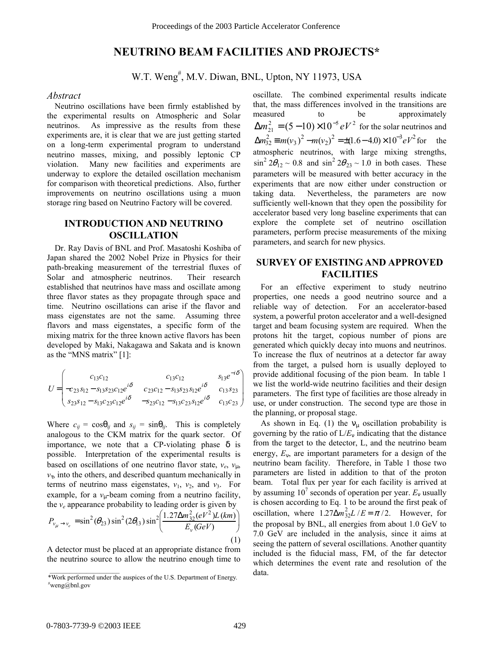# **NEUTRINO BEAM FACILITIES AND PROJECTS\***

W.T. Weng<sup>#</sup>, M.V. Diwan, BNL, Upton, NY 11973, USA

### *Abstract*

Neutrino oscillations have been firmly established by the experimental results on Atmospheric and Solar neutrinos. As impressive as the results from these experiments are, it is clear that we are just getting started on a long-term experimental program to understand neutrino masses, mixing, and possibly leptonic CP violation. Many new facilities and experiments are underway to explore the detailed oscillation mechanism for comparison with theoretical predictions. Also, further improvements on neutrino oscillations using a muon storage ring based on Neutrino Factory will be covered.

## **INTRODUCTION AND NEUTRINO OSCILLATION**

Dr. Ray Davis of BNL and Prof. Masatoshi Koshiba of Japan shared the 2002 Nobel Prize in Physics for their path-breaking measurement of the terrestrial fluxes of Solar and atmospheric neutrinos. Their research established that neutrinos have mass and oscillate among three flavor states as they propagate through space and time. Neutrino oscillations can arise if the flavor and mass eigenstates are not the same. Assuming three flavors and mass eigenstates, a specific form of the mixing matrix for the three known active flavors has been developed by Maki, Nakagawa and Sakata and is known as the "MNS matrix"  $[1]$ :

$$
U = \begin{pmatrix} c_{13}c_{12} & c_{13}c_{12} & s_{13}e^{-i\delta} \\ -c_{23}s_{12} - s_{13}s_{23}c_{12}e^{i\delta} & c_{23}c_{12} - s_{13}s_{23}s_{12}e^{i\delta} & c_{13}s_{23} \\ s_{23}s_{12} - s_{13}c_{23}c_{12}e^{i\delta} & -s_{23}c_{12} - s_{13}c_{23}s_{12}e^{i\delta} & c_{13}c_{23} \end{pmatrix}
$$

Where  $c_{ij} = \cos\theta_{ij}$  and  $s_{ij} = \sin\theta_{ij}$ . This is completely analogous to the CKM matrix for the quark sector. Of importance, we note that a CP-violating phase  $\delta$  is possible. Interpretation of the experimental results is based on oscillations of one neutrino flavor state,  $v_e$ ,  $v_{\text{u}}$ ,  $v_{\tau}$ , into the others, and described quantum mechanically in terms of neutrino mass eigenstates,  $v_1$ ,  $v_2$ , and  $v_3$ . For example, for a  $v_{\mu}$ -beam coming from a neutrino facility, the *ve* appearance probability to leading order is given by  $(1.27 \Delta m_{32}^2 (eV^2) L (km))$ 

$$
P_{v_{\mu}\to v_{e}} = \sin^{2}(\theta_{23})\sin^{2}(2\theta_{13})\sin^{2}\left(\frac{1.27\Delta m_{32}^{2}(eV^{2})L(km)}{E_{\nu}(GeV)}\right)
$$
\n(1)

A detector must be placed at an appropriate distance from the neutrino source to allow the neutrino enough time to oscillate. The combined experimental results indicate that, the mass differences involved in the transitions are measured to be approximately  $\Delta m_{21}^2 = (5-10) \times 10^{-5} eV^2$  for the solar neutrinos and  $\Delta m_{32}^2 \equiv m(v_3)^2 - m(v_2)^2 = \pm (1.6 - 4.0) \times 10^{-3} eV^2$  for the atmospheric neutrinos, with large mixing strengths,  $\sin^2 2\theta_{12} \sim 0.8$  and  $\sin^2 2\theta_{23} \sim 1.0$  in both cases. These parameters will be measured with better accuracy in the experiments that are now either under construction or taking data. Nevertheless, the parameters are now sufficiently well-known that they open the possibility for accelerator based very long baseline experiments that can explore the complete set of neutrino oscillation parameters, perform precise measurements of the mixing parameters, and search for new physics.

## **SURVEY OF EXISTING AND APPROVED FACILITIES**

For an effective experiment to study neutrino properties, one needs a good neutrino source and a reliable way of detection. For an accelerator-based system, a powerful proton accelerator and a well-designed target and beam focusing system are required. When the protons hit the target, copious number of pions are generated which quickly decay into muons and neutrinos. To increase the flux of neutrinos at a detector far away from the target, a pulsed horn is usually deployed to provide additional focusing of the pion beam. In table 1 we list the world-wide neutrino facilities and their design parameters. The first type of facilities are those already in use, or under construction. The second type are those in the planning, or proposal stage.

As shown in Eq. (1) the  $v_{\mu}$  oscillation probability is governing by the ratio of  $L/E_v$  indicating that the distance from the target to the detector, L, and the neutrino beam energy, *E*ν, are important parameters for a design of the neutrino beam facility. Therefore, in Table 1 those two parameters are listed in addition to that of the proton beam. Total flux per year for each facility is arrived at by assuming  $10^7$  seconds of operation per year.  $E_v$  usually is chosen according to Eq. 1 to be around the first peak of oscillation, where  $1.27\Delta m_{32}^2 L/E = \pi/2$ . However, for the proposal by BNL, all energies from about 1.0 GeV to 7.0 GeV are included in the analysis, since it aims at seeing the pattern of several oscillations. Another quantity included is the fiducial mass, FM, of the far detector which determines the event rate and resolution of the

<sup>\*</sup>Work performed under the auspices of the U.S. Department of Energy. data.  $*$ weng@bnl.gov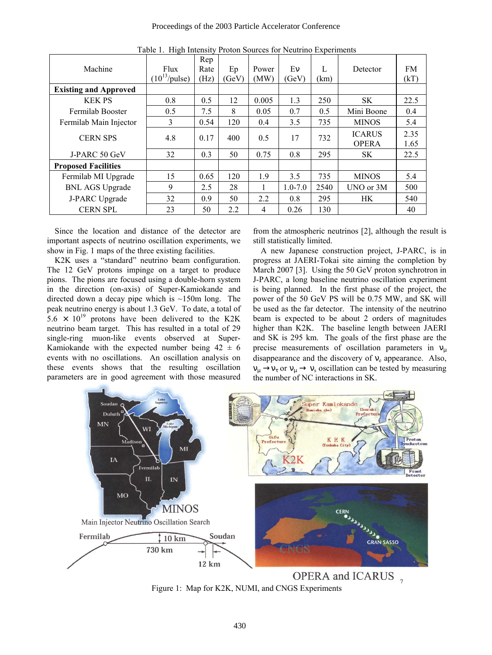| Machine                      | Flux<br>$(10^{13}/\text{pulse})$ | Rep<br>Rate<br>(Hz) | Ep<br>(GeV) | Power<br>(MW)  | Ev<br>(GeV) | $\mathbf{L}$<br>(km) | Detector                      | <b>FM</b><br>(kT) |
|------------------------------|----------------------------------|---------------------|-------------|----------------|-------------|----------------------|-------------------------------|-------------------|
| <b>Existing and Approved</b> |                                  |                     |             |                |             |                      |                               |                   |
| <b>KEK PS</b>                | 0.8                              | 0.5                 | 12          | 0.005          | 1.3         | 250                  | SK                            | 22.5              |
| Fermilab Booster             | 0.5                              | 7.5                 | 8           | 0.05           | 0.7         | 0.5                  | Mini Boone                    | 0.4               |
| Fermilab Main Injector       | 3                                | 0.54                | 120         | 0.4            | 3.5         | 735                  | <b>MINOS</b>                  | 5.4               |
| <b>CERN SPS</b>              | 4.8                              | 0.17                | 400         | 0.5            | 17          | 732                  | <b>ICARUS</b><br><b>OPERA</b> | 2.35<br>1.65      |
| J-PARC 50 GeV                | 32                               | 0.3                 | 50          | 0.75           | 0.8         | 295                  | <b>SK</b>                     | 22.5              |
| <b>Proposed Facilities</b>   |                                  |                     |             |                |             |                      |                               |                   |
| Fermilab MI Upgrade          | 15                               | 0.65                | 120         | 1.9            | 3.5         | 735                  | <b>MINOS</b>                  | 5.4               |
| <b>BNL AGS Upgrade</b>       | 9                                | 2.5                 | 28          |                | $1.0 - 7.0$ | 2540                 | UNO or 3M                     | 500               |
| J-PARC Upgrade               | 32                               | 0.9                 | 50          | 2.2            | 0.8         | 295                  | HK.                           | 540               |
| <b>CERN SPL</b>              | 23                               | 50                  | 2.2         | $\overline{4}$ | 0.26        | 130                  |                               | 40                |

Table 1. High Intensity Proton Sources for Neutrino Experiments

important aspects of neutrino oscillation experiments, we show in Fig. 1 maps of the three existing facilities.

K2K uses a "standard" neutrino beam configuration. The 12 GeV protons impinge on a target to produce pions. The pions are focused using a double-horn system in the direction (on-axis) of Super-Kamiokande and directed down a decay pipe which is  $\sim$ 150m long. The peak neutrino energy is about 1.3 GeV. To date, a total of  $5.6 \times 10^{19}$  protons have been delivered to the K2K neutrino beam target. This has resulted in a total of 29 single-ring muon-like events observed at Super-Kamiokande with the expected number being  $42 \pm 6$ events with no oscillations. An oscillation analysis on these events shows that the resulting oscillation parameters are in good agreement with those measured

 Since the location and distance of the detector are from the atmospheric neutrinos [2], although the result is still statistically limited.

> A new Japanese construction project, J-PARC, is in progress at JAERI-Tokai site aiming the completion by March 2007 [3]. Using the 50 GeV proton synchrotron in J-PARC, a long baseline neutrino oscillation experiment is being planned. In the first phase of the project, the power of the 50 GeV PS will be 0.75 MW, and SK will be used as the far detector. The intensity of the neutrino beam is expected to be about 2 orders of magnitudes higher than K2K. The baseline length between JAERI and SK is 295 km. The goals of the first phase are the precise measurements of oscillation parameters in  $v<sub>u</sub>$ disappearance and the discovery of  $v_e$  appearance. Also,  $v_{\mu} \rightarrow v_{\tau}$  or  $v_{\mu} \rightarrow v_{s}$  oscillation can be tested by measuring the number of NC interactions in SK.



Figure 1: Map for K2K, NUMI, and CNGS Experiments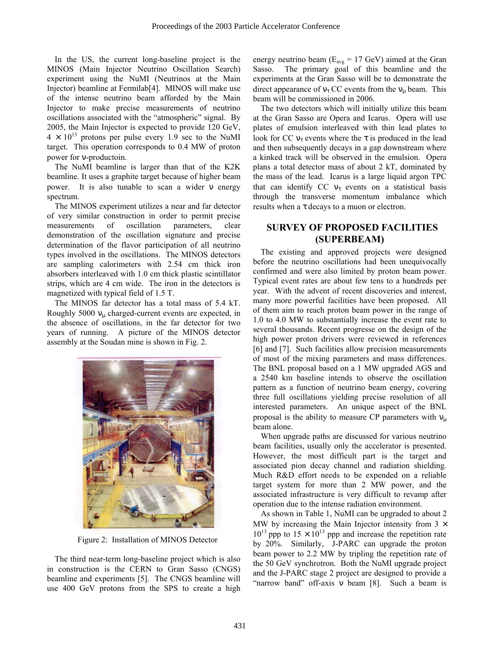In the US, the current long-baseline project is the MINOS (Main Injector Neutrino Oscillation Search) experiment using the NuMI (Neutrinos at the Main Injector) beamline at Fermilab[4]. MINOS will make use of the intense neutrino beam afforded by the Main Injector to make precise measurements of neutrino oscillations associated with the "atmospheric" signal. By 2005, the Main Injector is expected to provide 120 GeV,  $4 \times 10^{13}$  protons per pulse every 1.9 sec to the NuMI target. This operation corresponds to 0.4 MW of proton power for ν-productoin.

The NuMI beamline is larger than that of the K2K beamline. It uses a graphite target because of higher beam power. It is also tunable to scan a wider ν energy spectrum.

The MINOS experiment utilizes a near and far detector of very similar construction in order to permit precise measurements of oscillation parameters, clear demonstration of the oscillation signature and precise determination of the flavor participation of all neutrino types involved in the oscillations. The MINOS detectors are sampling calorimeters with 2.54 cm thick iron absorbers interleaved with 1.0 cm thick plastic scintillator strips, which are 4 cm wide. The iron in the detectors is magnetized with typical field of 1.5 T.

The MINOS far detector has a total mass of 5.4 kT. Roughly 5000  $v_\mu$  charged-current events are expected, in the absence of oscillations, in the far detector for two years of running. A picture of the MINOS detector assembly at the Soudan mine is shown in Fig. 2.



Figure 2: Installation of MINOS Detector

The third near-term long-baseline project which is also in construction is the CERN to Gran Sasso (CNGS) beamline and experiments [5]. The CNGS beamline will use 400 GeV protons from the SPS to create a high energy neutrino beam ( $E_{avg}$  = 17 GeV) aimed at the Gran Sasso. The primary goal of this beamline and the experiments at the Gran Sasso will be to demonstrate the direct appearance of  $v<sub>\tau</sub>$  CC events from the  $v<sub>u</sub>$  beam. This beam will be commissioned in 2006.

The two detectors which will initially utilize this beam at the Gran Sasso are Opera and Icarus. Opera will use plates of emulsion interleaved with thin lead plates to look for CC  $v_{\tau}$  events where the  $\tau$  is produced in the lead and then subsequently decays in a gap downstream where a kinked track will be observed in the emulsion. Opera plans a total detector mass of about 2 kT, dominated by the mass of the lead. Icarus is a large liquid argon TPC that can identify CC  $v<sub>\tau</sub>$  events on a statistical basis through the transverse momentum imbalance which results when a τ decays to a muon or electron.

# **SURVEY OF PROPOSED FACILITIES (SUPERBEAM)**

The existing and approved projects were designed before the neutrino oscillations had been unequivocally confirmed and were also limited by proton beam power. Typical event rates are about few tens to a hundreds per year. With the advent of recent discoveries and interest, many more powerful facilities have been proposed. All of them aim to reach proton beam power in the range of 1.0 to 4.0 MW to substantially increase the event rate to several thousands. Recent progresse on the design of the high power proton drivers were reviewed in references [6] and [7]. Such facilities allow precision measurements of most of the mixing parameters and mass differences. The BNL proposal based on a 1 MW upgraded AGS and a 2540 km baseline intends to observe the oscillation pattern as a function of neutrino beam energy, covering three full oscillations yielding precise resolution of all interested parameters. An unique aspect of the BNL proposal is the ability to measure CP parameters with  $v_{\mu}$ beam alone.

When upgrade paths are discussed for various neutrino beam facilities, usually only the accelerator is presented. However, the most difficult part is the target and associated pion decay channel and radiation shielding. Much R&D effort needs to be expended on a reliable target system for more than 2 MW power, and the associated infrastructure is very difficult to revamp after operation due to the intense radiation environment.

As shown in Table 1, NuMI can be upgraded to about 2 MW by increasing the Main Injector intensity from  $3 \times$  $10^{13}$  ppp to  $15 \times 10^{13}$  ppp and increase the repetition rate by 20%. Similarly, J-PARC can upgrade the proton beam power to 2.2 MW by tripling the repetition rate of the 50 GeV synchrotron. Both the NuMI upgrade project and the J-PARC stage 2 project are designed to provide a ìnarrow bandî off-axis ν beam [8]. Such a beam is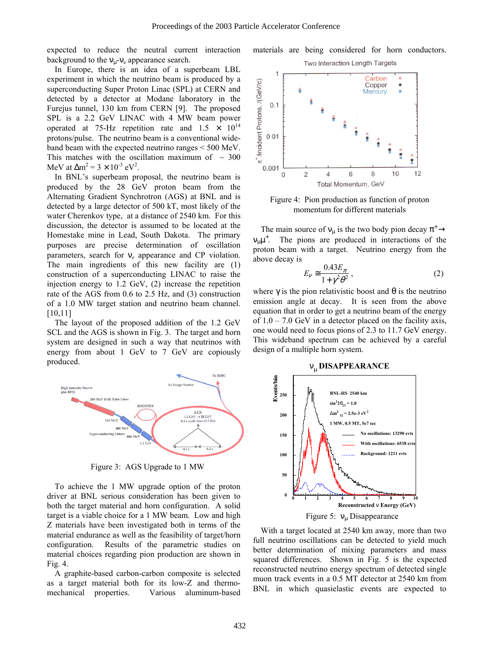expected to reduce the neutral current interaction background to the  $v_{\parallel}$ - $v_{\parallel}$  appearance search.

In Europe, there is an idea of a superbeam LBL experiment in which the neutrino beam is produced by a superconducting Super Proton Linac (SPL) at CERN and detected by a detector at Modane laboratory in the Furejus tunnel, 130 km from CERN [9]. The proposed SPL is a 2.2 GeV LINAC with 4 MW beam power operated at 75-Hz repetition rate and  $1.5 \times 10^{14}$ protons/pulse. The neutrino beam is a conventional wideband beam with the expected neutrino ranges < 500 MeV. This matches with the oscillation maximum of  $\sim$  300 MeV at  $\Delta m^2 = 3 \times 10^{-3}$  eV<sup>2</sup>.

In BNL's superbeam proposal, the neutrino beam is produced by the 28 GeV proton beam from the Alternating Gradient Synchrotron (AGS) at BNL and is detected by a large detector of 500 kT, most likely of the water Cherenkov type, at a distance of 2540 km. For this discussion, the detector is assumed to be located at the Homestake mine in Lead, South Dakota. The primary purposes are precise determination of oscillation parameters, search for ν*e* appearance and CP violation. The main ingredients of this new facility are (1) construction of a superconducting LINAC to raise the injection energy to 1.2 GeV, (2) increase the repetition rate of the AGS from 0.6 to 2.5 Hz, and (3) construction of a 1.0 MW target station and neutrino beam channel. [10,11]

The layout of the proposed addition of the 1.2 GeV SCL and the AGS is shown in Fig. 3. The target and horn system are designed in such a way that neutrinos with energy from about 1 GeV to 7 GeV are copiously produced.



Figure 3: AGS Upgrade to 1 MW

To achieve the 1 MW upgrade option of the proton driver at BNL serious consideration has been given to both the target material and horn configuration. A solid target is a viable choice for a 1 MW beam. Low and high Z materials have been investigated both in terms of the material endurance as well as the feasibility of target/horn configuration. Results of the parametric studies on material choices regarding pion production are shown in Fig. 4.

A graphite-based carbon-carbon composite is selected as a target material both for its low-Z and thermomechanical properties. Various aluminum-based





Figure 4: Pion production as function of proton momentum for different materials

The main source of  $v_{\mu}$  is the two body pion decay  $\pi^{+} \rightarrow$  $v_{\mu}\mu^{+}$ . The pions are produced in interactions of the proton beam with a target. Neutrino energy from the above decay is

$$
E_{\nu} \approx \frac{0.43 E_{\pi}}{1 + \gamma^2 \theta^2},\tag{2}
$$

where  $\gamma$  is the pion relativistic boost and  $\theta$  is the neutrino emission angle at decay. It is seen from the above equation that in order to get a neutrino beam of the energy of  $1.0 - 7.0$  GeV in a detector placed on the facility axis, one would need to focus pions of 2.3 to 11.7 GeV energy. This wideband spectrum can be achieved by a careful design of a multiple horn system.



With a target located at 2540 km away, more than two full neutrino oscillations can be detected to yield much better determination of mixing parameters and mass squared differences. Shown in Fig. 5 is the expected reconstructed neutrino energy spectrum of detected single muon track events in a 0.5 MT detector at 2540 km from BNL in which quasielastic events are expected to